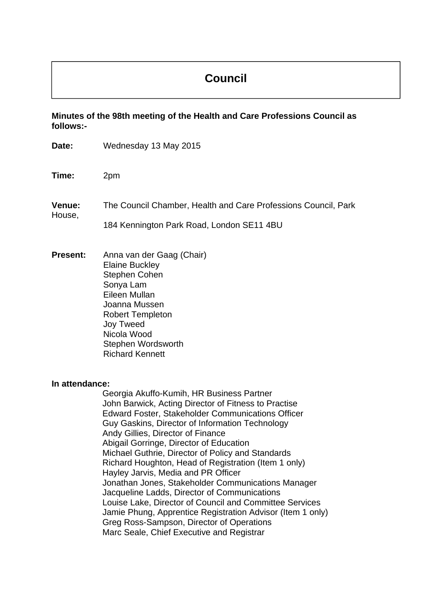# **Council**

**Minutes of the 98th meeting of the Health and Care Professions Council as follows:-** 

| Date:            | Wednesday 13 May 2015                                                                                                                                                                                                                                                                                                                                                                                                                                                                                                                                                                                                                                                                                                            |
|------------------|----------------------------------------------------------------------------------------------------------------------------------------------------------------------------------------------------------------------------------------------------------------------------------------------------------------------------------------------------------------------------------------------------------------------------------------------------------------------------------------------------------------------------------------------------------------------------------------------------------------------------------------------------------------------------------------------------------------------------------|
| Time:            | 2pm                                                                                                                                                                                                                                                                                                                                                                                                                                                                                                                                                                                                                                                                                                                              |
| Venue:<br>House, | The Council Chamber, Health and Care Professions Council, Park<br>184 Kennington Park Road, London SE11 4BU                                                                                                                                                                                                                                                                                                                                                                                                                                                                                                                                                                                                                      |
| <b>Present:</b>  | Anna van der Gaag (Chair)<br><b>Elaine Buckley</b><br><b>Stephen Cohen</b><br>Sonya Lam<br>Eileen Mullan<br>Joanna Mussen<br><b>Robert Templeton</b><br><b>Joy Tweed</b><br>Nicola Wood<br>Stephen Wordsworth<br><b>Richard Kennett</b>                                                                                                                                                                                                                                                                                                                                                                                                                                                                                          |
| In attendance:   | Georgia Akuffo-Kumih, HR Business Partner<br>John Barwick, Acting Director of Fitness to Practise<br><b>Edward Foster, Stakeholder Communications Officer</b><br>Guy Gaskins, Director of Information Technology<br>Andy Gillies, Director of Finance<br>Abigail Gorringe, Director of Education<br>Michael Guthrie, Director of Policy and Standards<br>Richard Houghton, Head of Registration (Item 1 only)<br>Hayley Jarvis, Media and PR Officer<br>Jonathan Jones, Stakeholder Communications Manager<br>Jacqueline Ladds, Director of Communications<br>Louise Lake, Director of Council and Committee Services<br>Jamie Phung, Apprentice Registration Advisor (Item 1 only)<br>Greg Ross-Sampson, Director of Operations |

Marc Seale, Chief Executive and Registrar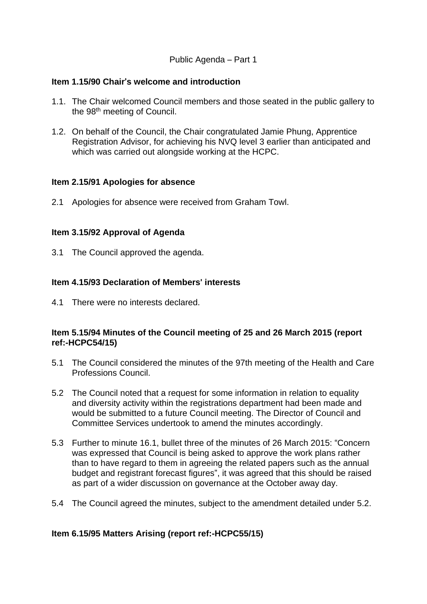## Public Agenda – Part 1

## **Item 1.15/90 Chair**'**s welcome and introduction**

- 1.1. The Chair welcomed Council members and those seated in the public gallery to the 98<sup>th</sup> meeting of Council.
- 1.2. On behalf of the Council, the Chair congratulated Jamie Phung, Apprentice Registration Advisor, for achieving his NVQ level 3 earlier than anticipated and which was carried out alongside working at the HCPC.

#### **Item 2.15/91 Apologies for absence**

2.1 Apologies for absence were received from Graham Towl.

## **Item 3.15/92 Approval of Agenda**

3.1 The Council approved the agenda.

## **Item 4.15/93 Declaration of Members**' **interests**

4.1 There were no interests declared.

## **Item 5.15/94 Minutes of the Council meeting of 25 and 26 March 2015 (report ref:-HCPC54/15)**

- 5.1 The Council considered the minutes of the 97th meeting of the Health and Care Professions Council.
- 5.2 The Council noted that a request for some information in relation to equality and diversity activity within the registrations department had been made and would be submitted to a future Council meeting. The Director of Council and Committee Services undertook to amend the minutes accordingly.
- 5.3 Further to minute 16.1, bullet three of the minutes of 26 March 2015: "Concern was expressed that Council is being asked to approve the work plans rather than to have regard to them in agreeing the related papers such as the annual budget and registrant forecast figures", it was agreed that this should be raised as part of a wider discussion on governance at the October away day.
- 5.4 The Council agreed the minutes, subject to the amendment detailed under 5.2.

## **Item 6.15/95 Matters Arising (report ref:-HCPC55/15)**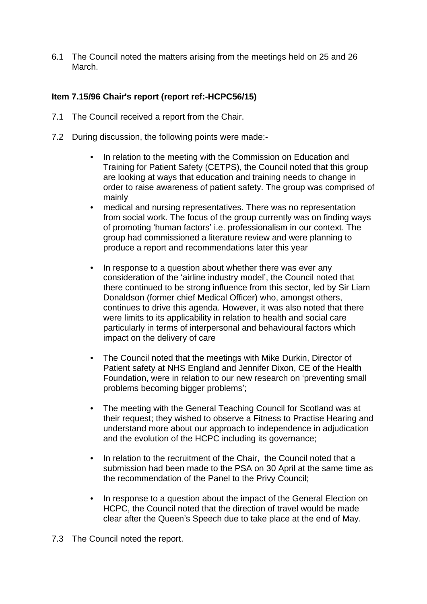6.1 The Council noted the matters arising from the meetings held on 25 and 26 March.

## **Item 7.15/96 Chair**'**s report (report ref:-HCPC56/15)**

- 7.1 The Council received a report from the Chair.
- 7.2 During discussion, the following points were made:-
	- In relation to the meeting with the Commission on Education and Training for Patient Safety (CETPS), the Council noted that this group are looking at ways that education and training needs to change in order to raise awareness of patient safety. The group was comprised of mainly
	- medical and nursing representatives. There was no representation from social work. The focus of the group currently was on finding ways of promoting 'human factors' i.e. professionalism in our context. The group had commissioned a literature review and were planning to produce a report and recommendations later this year
	- In response to a question about whether there was ever any consideration of the 'airline industry model', the Council noted that there continued to be strong influence from this sector, led by Sir Liam Donaldson (former chief Medical Officer) who, amongst others, continues to drive this agenda. However, it was also noted that there were limits to its applicability in relation to health and social care particularly in terms of interpersonal and behavioural factors which impact on the delivery of care
	- The Council noted that the meetings with Mike Durkin, Director of Patient safety at NHS England and Jennifer Dixon, CE of the Health Foundation, were in relation to our new research on 'preventing small problems becoming bigger problems';
	- The meeting with the General Teaching Council for Scotland was at their request; they wished to observe a Fitness to Practise Hearing and understand more about our approach to independence in adjudication and the evolution of the HCPC including its governance;
	- In relation to the recruitment of the Chair, the Council noted that a submission had been made to the PSA on 30 April at the same time as the recommendation of the Panel to the Privy Council;
	- In response to a question about the impact of the General Election on HCPC, the Council noted that the direction of travel would be made clear after the Queen's Speech due to take place at the end of May.
- 7.3 The Council noted the report.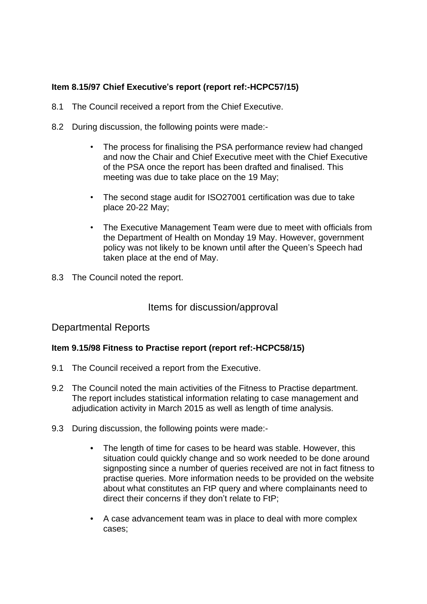# **Item 8.15/97 Chief Executive**'**s report (report ref:-HCPC57/15)**

- 8.1 The Council received a report from the Chief Executive.
- 8.2 During discussion, the following points were made:-
	- The process for finalising the PSA performance review had changed and now the Chair and Chief Executive meet with the Chief Executive of the PSA once the report has been drafted and finalised. This meeting was due to take place on the 19 May;
	- The second stage audit for ISO27001 certification was due to take place 20-22 May;
	- The Executive Management Team were due to meet with officials from the Department of Health on Monday 19 May. However, government policy was not likely to be known until after the Queen's Speech had taken place at the end of May.
- 8.3 The Council noted the report.

# Items for discussion/approval

## Departmental Reports

## **Item 9.15/98 Fitness to Practise report (report ref:-HCPC58/15)**

- 9.1 The Council received a report from the Executive.
- 9.2 The Council noted the main activities of the Fitness to Practise department. The report includes statistical information relating to case management and adjudication activity in March 2015 as well as length of time analysis.
- 9.3 During discussion, the following points were made:-
	- The length of time for cases to be heard was stable. However, this situation could quickly change and so work needed to be done around signposting since a number of queries received are not in fact fitness to practise queries. More information needs to be provided on the website about what constitutes an FtP query and where complainants need to direct their concerns if they don't relate to FtP;
	- A case advancement team was in place to deal with more complex cases;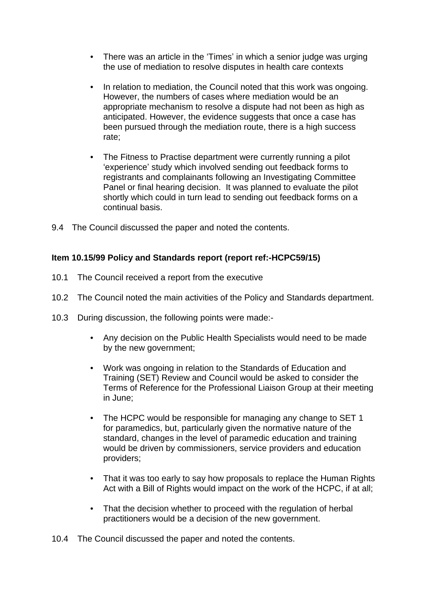- There was an article in the 'Times' in which a senior judge was urging the use of mediation to resolve disputes in health care contexts
- In relation to mediation, the Council noted that this work was ongoing. However, the numbers of cases where mediation would be an appropriate mechanism to resolve a dispute had not been as high as anticipated. However, the evidence suggests that once a case has been pursued through the mediation route, there is a high success rate;
- The Fitness to Practise department were currently running a pilot 'experience' study which involved sending out feedback forms to registrants and complainants following an Investigating Committee Panel or final hearing decision. It was planned to evaluate the pilot shortly which could in turn lead to sending out feedback forms on a continual basis.
- 9.4 The Council discussed the paper and noted the contents.

## **Item 10.15/99 Policy and Standards report (report ref:-HCPC59/15)**

- 10.1 The Council received a report from the executive
- 10.2 The Council noted the main activities of the Policy and Standards department.
- 10.3 During discussion, the following points were made:-
	- Any decision on the Public Health Specialists would need to be made by the new government;
	- Work was ongoing in relation to the Standards of Education and Training (SET) Review and Council would be asked to consider the Terms of Reference for the Professional Liaison Group at their meeting in June;
	- The HCPC would be responsible for managing any change to SET 1 for paramedics, but, particularly given the normative nature of the standard, changes in the level of paramedic education and training would be driven by commissioners, service providers and education providers;
	- That it was too early to say how proposals to replace the Human Rights Act with a Bill of Rights would impact on the work of the HCPC, if at all;
	- That the decision whether to proceed with the regulation of herbal practitioners would be a decision of the new government.
- 10.4 The Council discussed the paper and noted the contents.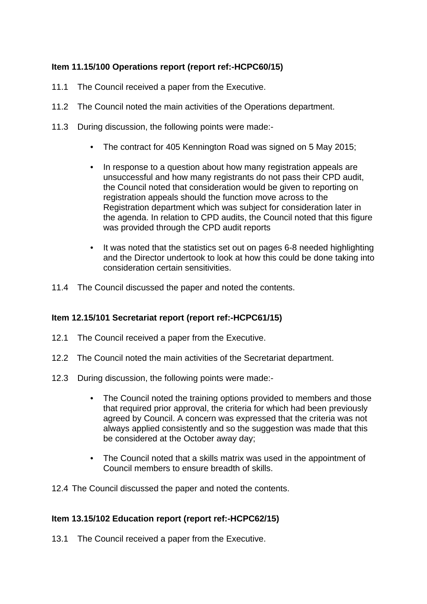## **Item 11.15/100 Operations report (report ref:-HCPC60/15)**

- 11.1 The Council received a paper from the Executive.
- 11.2 The Council noted the main activities of the Operations department.
- 11.3 During discussion, the following points were made:-
	- The contract for 405 Kennington Road was signed on 5 May 2015;
	- In response to a question about how many registration appeals are unsuccessful and how many registrants do not pass their CPD audit, the Council noted that consideration would be given to reporting on registration appeals should the function move across to the Registration department which was subject for consideration later in the agenda. In relation to CPD audits, the Council noted that this figure was provided through the CPD audit reports
	- It was noted that the statistics set out on pages 6-8 needed highlighting and the Director undertook to look at how this could be done taking into consideration certain sensitivities.
- 11.4 The Council discussed the paper and noted the contents.

## **Item 12.15/101 Secretariat report (report ref:-HCPC61/15)**

- 12.1 The Council received a paper from the Executive.
- 12.2 The Council noted the main activities of the Secretariat department.
- 12.3 During discussion, the following points were made:-
	- The Council noted the training options provided to members and those that required prior approval, the criteria for which had been previously agreed by Council. A concern was expressed that the criteria was not always applied consistently and so the suggestion was made that this be considered at the October away day;
	- The Council noted that a skills matrix was used in the appointment of Council members to ensure breadth of skills.
- 12.4 The Council discussed the paper and noted the contents.

## **Item 13.15/102 Education report (report ref:-HCPC62/15)**

13.1 The Council received a paper from the Executive.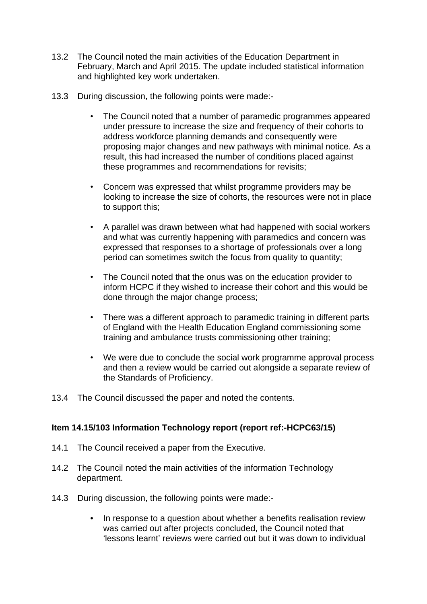- 13.2 The Council noted the main activities of the Education Department in February, March and April 2015. The update included statistical information and highlighted key work undertaken.
- 13.3 During discussion, the following points were made:-
	- The Council noted that a number of paramedic programmes appeared under pressure to increase the size and frequency of their cohorts to address workforce planning demands and consequently were proposing major changes and new pathways with minimal notice. As a result, this had increased the number of conditions placed against these programmes and recommendations for revisits;
	- Concern was expressed that whilst programme providers may be looking to increase the size of cohorts, the resources were not in place to support this;
	- A parallel was drawn between what had happened with social workers and what was currently happening with paramedics and concern was expressed that responses to a shortage of professionals over a long period can sometimes switch the focus from quality to quantity;
	- The Council noted that the onus was on the education provider to inform HCPC if they wished to increase their cohort and this would be done through the major change process;
	- There was a different approach to paramedic training in different parts of England with the Health Education England commissioning some training and ambulance trusts commissioning other training;
	- We were due to conclude the social work programme approval process and then a review would be carried out alongside a separate review of the Standards of Proficiency.
- 13.4 The Council discussed the paper and noted the contents.

## **Item 14.15/103 Information Technology report (report ref:-HCPC63/15)**

- 14.1 The Council received a paper from the Executive.
- 14.2 The Council noted the main activities of the information Technology department.
- 14.3 During discussion, the following points were made:-
	- In response to a question about whether a benefits realisation review was carried out after projects concluded, the Council noted that 'lessons learnt' reviews were carried out but it was down to individual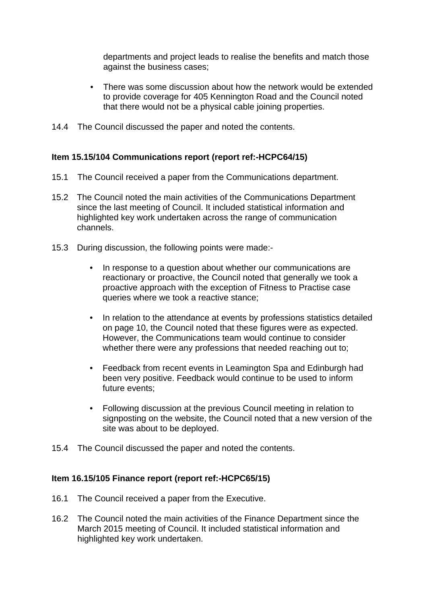departments and project leads to realise the benefits and match those against the business cases;

- There was some discussion about how the network would be extended to provide coverage for 405 Kennington Road and the Council noted that there would not be a physical cable joining properties.
- 14.4 The Council discussed the paper and noted the contents.

## **Item 15.15/104 Communications report (report ref:-HCPC64/15)**

- 15.1 The Council received a paper from the Communications department.
- 15.2 The Council noted the main activities of the Communications Department since the last meeting of Council. It included statistical information and highlighted key work undertaken across the range of communication channels.
- 15.3 During discussion, the following points were made:-
	- In response to a question about whether our communications are reactionary or proactive, the Council noted that generally we took a proactive approach with the exception of Fitness to Practise case queries where we took a reactive stance;
	- In relation to the attendance at events by professions statistics detailed on page 10, the Council noted that these figures were as expected. However, the Communications team would continue to consider whether there were any professions that needed reaching out to;
	- Feedback from recent events in Leamington Spa and Edinburgh had been very positive. Feedback would continue to be used to inform future events;
	- Following discussion at the previous Council meeting in relation to signposting on the website, the Council noted that a new version of the site was about to be deployed.
- 15.4 The Council discussed the paper and noted the contents.

## **Item 16.15/105 Finance report (report ref:-HCPC65/15)**

- 16.1 The Council received a paper from the Executive.
- 16.2 The Council noted the main activities of the Finance Department since the March 2015 meeting of Council. It included statistical information and highlighted key work undertaken.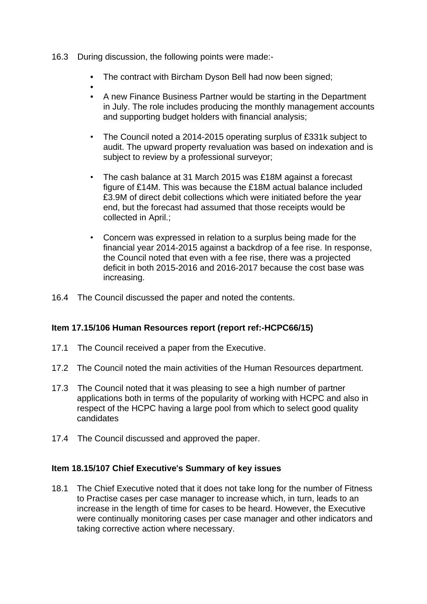- 16.3 During discussion, the following points were made:-
	- The contract with Bircham Dyson Bell had now been signed:
	- • A new Finance Business Partner would be starting in the Department in July. The role includes producing the monthly management accounts and supporting budget holders with financial analysis;
	- The Council noted a 2014-2015 operating surplus of £331k subject to audit. The upward property revaluation was based on indexation and is subject to review by a professional surveyor;
	- The cash balance at 31 March 2015 was £18M against a forecast figure of £14M. This was because the £18M actual balance included £3.9M of direct debit collections which were initiated before the year end, but the forecast had assumed that those receipts would be collected in April.;
	- Concern was expressed in relation to a surplus being made for the financial year 2014-2015 against a backdrop of a fee rise. In response, the Council noted that even with a fee rise, there was a projected deficit in both 2015-2016 and 2016-2017 because the cost base was increasing.
- 16.4 The Council discussed the paper and noted the contents.

## **Item 17.15/106 Human Resources report (report ref:-HCPC66/15)**

- 17.1 The Council received a paper from the Executive.
- 17.2 The Council noted the main activities of the Human Resources department.
- 17.3 The Council noted that it was pleasing to see a high number of partner applications both in terms of the popularity of working with HCPC and also in respect of the HCPC having a large pool from which to select good quality candidates
- 17.4 The Council discussed and approved the paper.

## **Item 18.15/107 Chief Executive**'**s Summary of key issues**

18.1 The Chief Executive noted that it does not take long for the number of Fitness to Practise cases per case manager to increase which, in turn, leads to an increase in the length of time for cases to be heard. However, the Executive were continually monitoring cases per case manager and other indicators and taking corrective action where necessary.